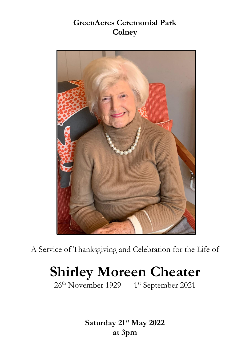## **GreenAcres Ceremonial Park Colney**



A Service of Thanksgiving and Celebration for the Life of

# **Shirley Moreen Cheater**

26<sup>th</sup> November 1929 – 1<sup>st</sup> September 2021

**Saturday 21st May 2022 at 3pm**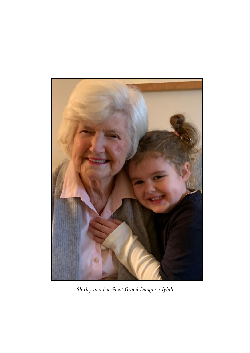

*Shirley and her Great Grand Daughter Iylah*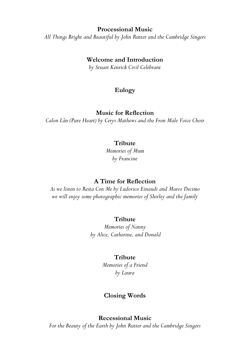#### **Processional Music**

*All Things Bright and Beautiful by John Rutter and the Cambridge Singers* 

#### **Welcome and Introduction**

*by Stuart Kenrick Civil Celebrant*

### **Eulogy**

#### **Music for Reflection**

*Calon Lân (Pure Heart) by Cerys Mathews and the Fron Male Voice Choir* 

#### **Tribute**

*Memories of Mum by Francine* 

#### **A Time for Reflection**

*As we listen to Resta Con Me by Ludovico Einaudi and Marco Decimo we will enjoy some photographic memories of Shirley and the family*

#### **Tribute**

*Memories of Nanny by Alice, Catherine, and Donald*

#### **Tribute**

*Memories of a Friend by Laura* 

#### **Closing Words**

#### **Recessional Music**

*For the Beauty of the Earth by John Rutter and the Cambridge Singers*